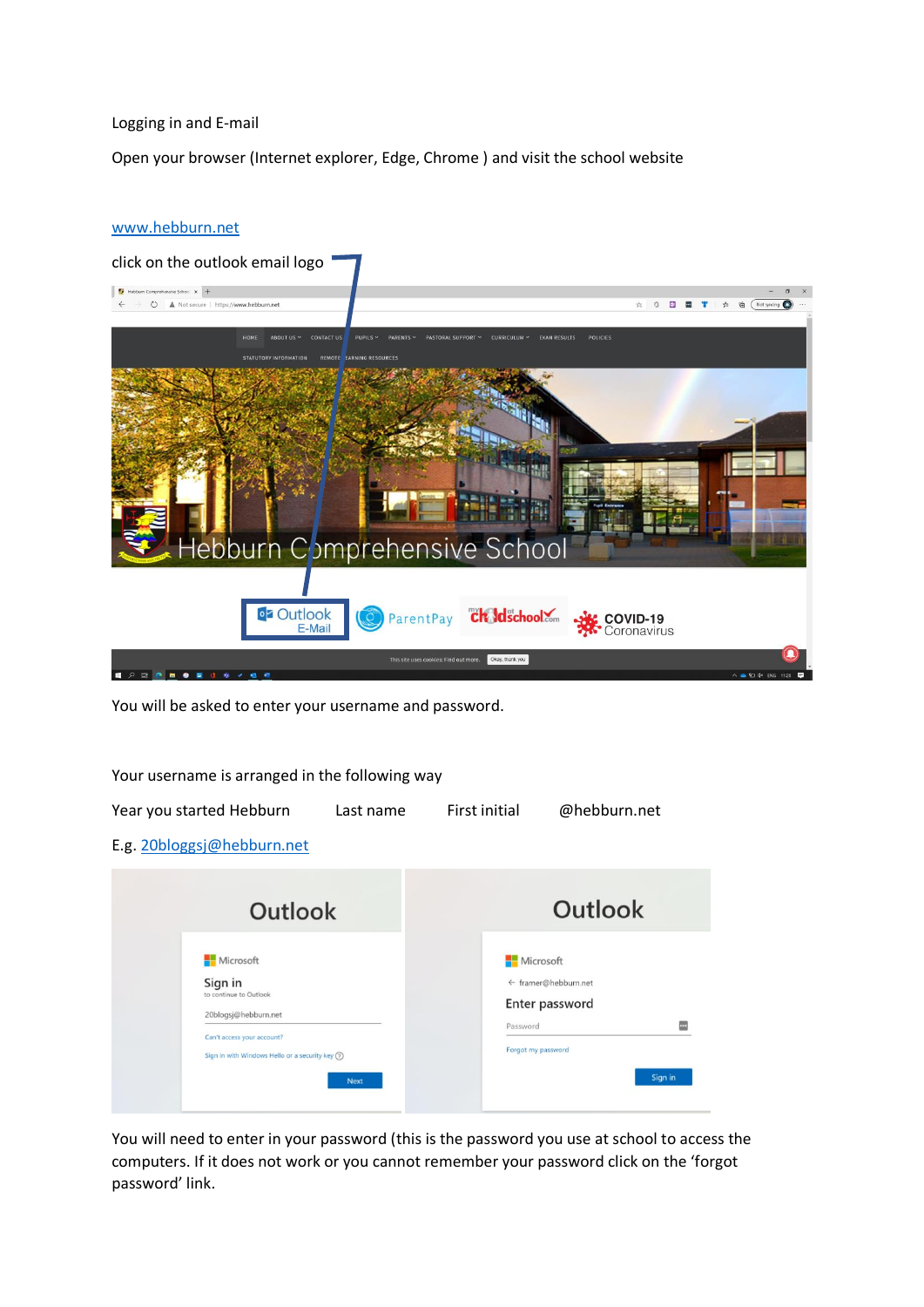## Logging in and E-mail

Open your browser (Internet explorer, Edge, Chrome ) and visit the school website

## [www.hebburn.net](http://www.hebburn.net/)



You will be asked to enter your username and password.

Your username is arranged in the following way

20blogsj@hebburn.net

Can't access your account?

Sign in with Windows Hello or a security key  $\circledR$ 

| Year you started Hebburn                                         | Last name | First initial | @hebburn.net         |
|------------------------------------------------------------------|-----------|---------------|----------------------|
| E.g. 20bloggsj@hebburn.net                                       |           |               |                      |
| <b>Outlook</b><br>Microsoft<br>Sign in<br>to continue to Outlook |           |               | Outlook              |
|                                                                  |           | Microsoft     | ← framer@hebburn.net |

You will need to enter in your password (this is the password you use at school to access the computers. If it does not work or you cannot remember your password click on the 'forgot password' link.

Enter password

 $\equiv$ 

Sign in

Password

Forgot my password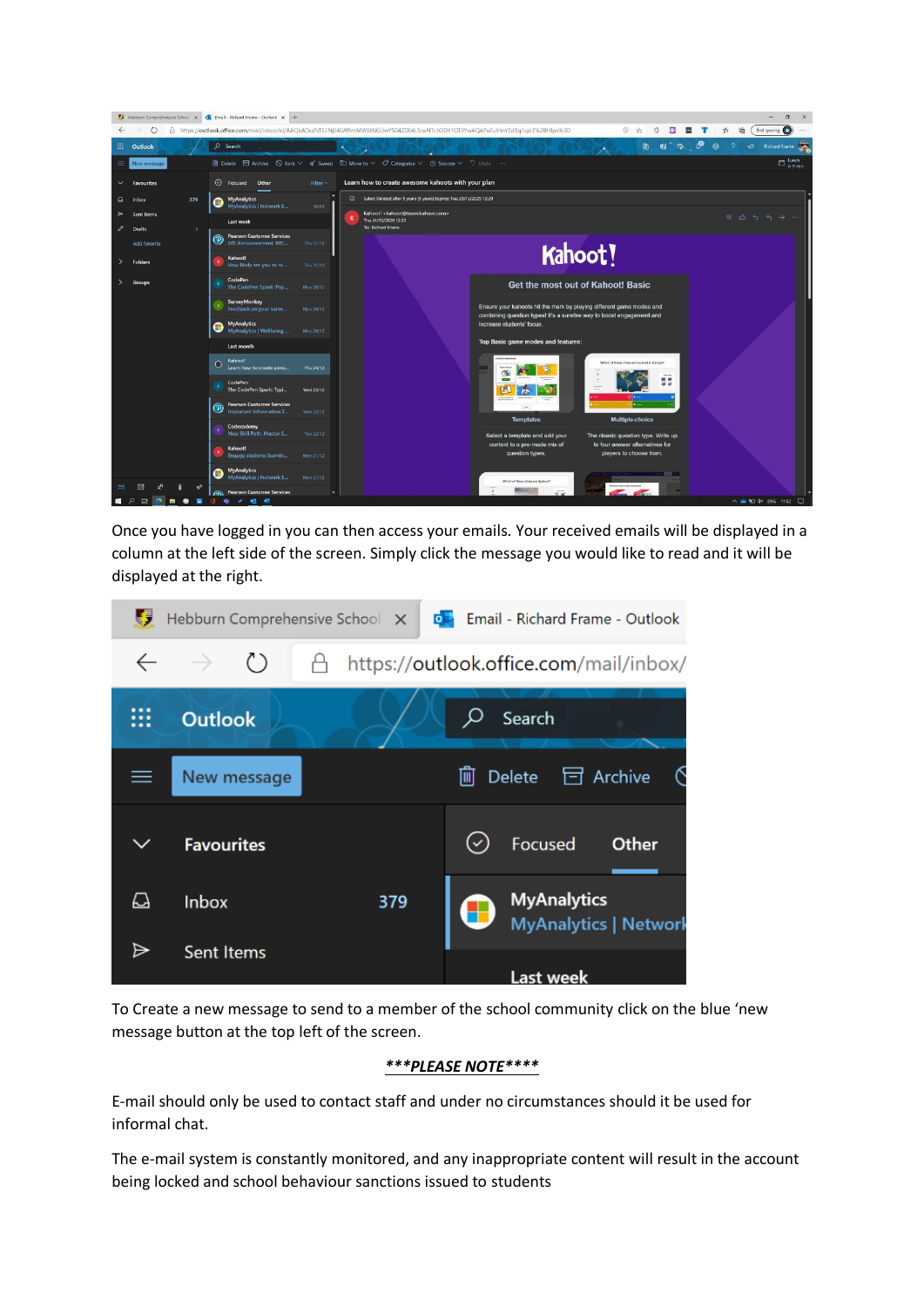

Once you have logged in you can then access your emails. Your received emails will be displayed in a column at the left side of the screen. Simply click the message you would like to read and it will be displayed at the right.

| Ø  | Hebburn Comprehensive School X | $\circ$ | Email - Richard Frame - Outlook                    |
|----|--------------------------------|---------|----------------------------------------------------|
|    | $\rightarrow$ ()               |         | https://outlook.office.com/mail/inbox/             |
|    | <b>Outlook</b>                 |         | Search<br>Ω                                        |
| ≡  | New message                    |         | $\Box$ Archive<br>Delete<br>画                      |
|    | <b>Favourites</b>              |         | Focused<br>Other                                   |
| ہے | Inbox                          | 379     | <b>MyAnalytics</b><br><b>MyAnalytics   Network</b> |
| ⊳  | <b>Sent Items</b>              |         | <b>Last week</b>                                   |

To Create a new message to send to a member of the school community click on the blue 'new message button at the top left of the screen.

## *\*\*\*PLEASE NOTE\*\*\*\**

E-mail should only be used to contact staff and under no circumstances should it be used for informal chat.

The e-mail system is constantly monitored, and any inappropriate content will result in the account being locked and school behaviour sanctions issued to students